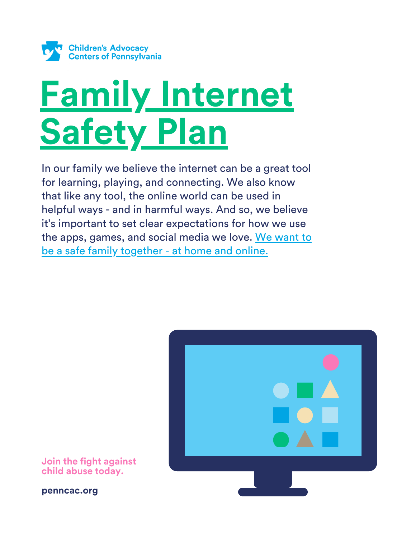

# **Family Internet Safety Plan**

In our family we believe the internet can be a great tool for learning, playing, and connecting. We also know that like any tool, the online world can be used in helpful ways - and in harmful ways. And so, we believe it's important to set clear expectations for how we use the apps, games, and social media we love. We want to be a safe family together - at home and online.



**penncac.org**

**Join the fight against child abuse today.**